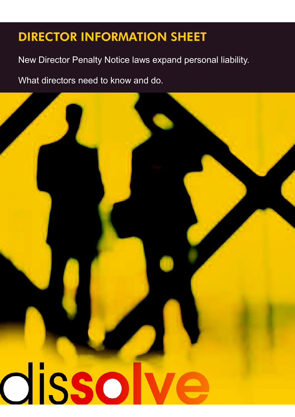New Director Penalty Notice laws expand personal liability.

What directors need to know and do.

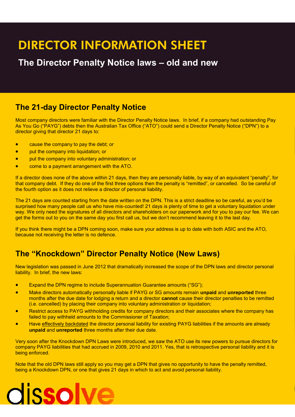### **The Director Penalty Notice laws – old and new**

### **The 21-day Director Penalty Notice**

Most company directors were familiar with the Director Penalty Notice laws. In brief, if a company had outstanding Pay As You Go ("PAYG") debts then the Australian Tax Office ("ATO") could send a Director Penalty Notice ("DPN") to a director giving that director 21 days to:

- **•** cause the company to pay the debt; or
- **•** put the company into liquidation; or
- **•** put the company into voluntary administration; or
- come to a payment arrangement with the ATO.

If a director does none of the above within 21 days, then they are personally liable, by way of an equivalent "penalty", for that company debt. If they do one of the first three options then the penalty is "remitted", or cancelled. So be careful of the fourth option as it does not relieve a director of personal liability.

The 21 days are counted starting from the date written on the DPN. This is a strict deadline so be careful, as you'd be surprised how many people call us who have mis-counted! 21 days is plenty of time to get a voluntary liquidation under way. We only need the signatures of all directors and shareholders on our paperwork and for you to pay our fee. We can get the forms out to you on the same day you first call us, but we don't recommend leaving it to the last day.

If you think there might be a DPN coming soon, make sure your address is up to date with both ASIC and the ATO, because not receiving the letter is no defence.

### **The "Knockdown" Director Penalty Notice (New Laws)**

New legislation was passed in June 2012 that dramatically increased the scope of the DPN laws and director personal liability. In brief, the new laws:

- Expand the DPN regime to include Superannuation Guarantee amounts ("SG");
- Make directors automatically personally liable if PAYG or SG amounts remain **unpaid** and **unreported** three months after the due date for lodging a return and a director **cannot** cause their director penalties to be remitted (i.e. cancelled) by placing their company into voluntary administration or [liquidation;](http://www.dissolve.com.au/liquidation.html)
- Restrict access to PAYG withholding credits for company directors and their associates where the company has failed to pay withheld amounts to the Commissioner of Taxation;
- Have effectively backdated the director personal liability for existing PAYG liabilities if the amounts are already **unpaid** and **unreported** three months after their due date.

Very soon after the Knockdown DPN Laws were introduced, we saw the ATO use its new powers to pursue directors for company PAYG liabilities that had accrued in 2009, 2010 and 2011. Yes, that is retrospective personal liability and it is being enforced.

Note that the old DPN laws still apply so you may get a DPN that gives no opportunity to have the penalty remitted, being a Knockdown DPN, or one that gives 21 days in which to act and avoid personal liability.

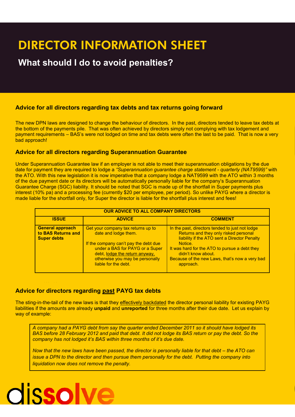## **What should I do to avoid penalties?**

#### **Advice for all directors regarding tax debts and tax returns going forward**

The new DPN laws are designed to change the behaviour of directors. In the past, directors tended to leave tax debts at the bottom of the payments pile. That was often achieved by directors simply not complying with tax lodgement and payment requirements – BAS's were not lodged on time and tax debts were often the last to be paid. That is now a very bad approach!

### **Advice for all directors regarding Superannuation Guarantee**

Under Superannuation Guarantee law if an employer is not able to meet their superannuation obligations by the due date for payment they are required to lodge a *"Superannuation guarantee charge statement - quarterly (NAT9599)"* with the ATO. With this new legislation it is now imperative that a company lodge a NAT9599 with the ATO within 3 months of the due payment date or its directors will be automatically personally liable for the company's Superannuation Guarantee Charge (SGC) liability. It should be noted that SGC is made up of the shortfall in Super payments plus interest (10% pa) and a processing fee (currently \$20 per employee, per period). So unlike PAYG where a director is made liable for the shortfall only, for Super the director is liable for the shortfall plus interest and fees!

| <b>OUR ADVICE TO ALL COMPANY DIRECTORS</b>                          |                                                                                                                                                                                                                                     |                                                                                                                                                                                                                                                                                           |
|---------------------------------------------------------------------|-------------------------------------------------------------------------------------------------------------------------------------------------------------------------------------------------------------------------------------|-------------------------------------------------------------------------------------------------------------------------------------------------------------------------------------------------------------------------------------------------------------------------------------------|
| <b>ISSUE</b>                                                        | <b>ADVICE</b>                                                                                                                                                                                                                       | <b>COMMENT</b>                                                                                                                                                                                                                                                                            |
| <b>General approach</b><br>to BAS Returns and<br><b>Super debts</b> | Get your company tax returns up to<br>date and lodge them.<br>If the company can't pay the debt due<br>under a BAS for PAYG or a Super<br>debt, lodge the return anyway,<br>otherwise you may be personally<br>liable for the debt. | In the past, directors tended to just not lodge<br>Returns and they only risked personal<br>liability if the ATO sent a Director Penalty<br>Notice.<br>It was hard for the ATO to pursue a debt they<br>didn't know about.<br>Because of the new Laws, that's now a very bad<br>approach. |

#### **Advice for directors regarding past PAYG tax debts**

The sting-in-the-tail of the new laws is that they effectively backdated the director personal liability for existing PAYG liabilities if the amounts are already **unpaid** and **unreported** for three months after their due date. Let us explain by way of example:

*A company had a PAYG debt from say the quarter ended December 2011 so it should have lodged its BAS before 28 February 2012 and paid that debt. It did not lodge its BAS return or pay the debt. So the company has not lodged it's BAS within three months of it's due date.*

*Now that the new laws have been passed, the director is personally liable for that debt – the ATO can issue a DPN to the director and then pursue them personally for the debt. Putting the company into liquidation now does not remove the penalty.*